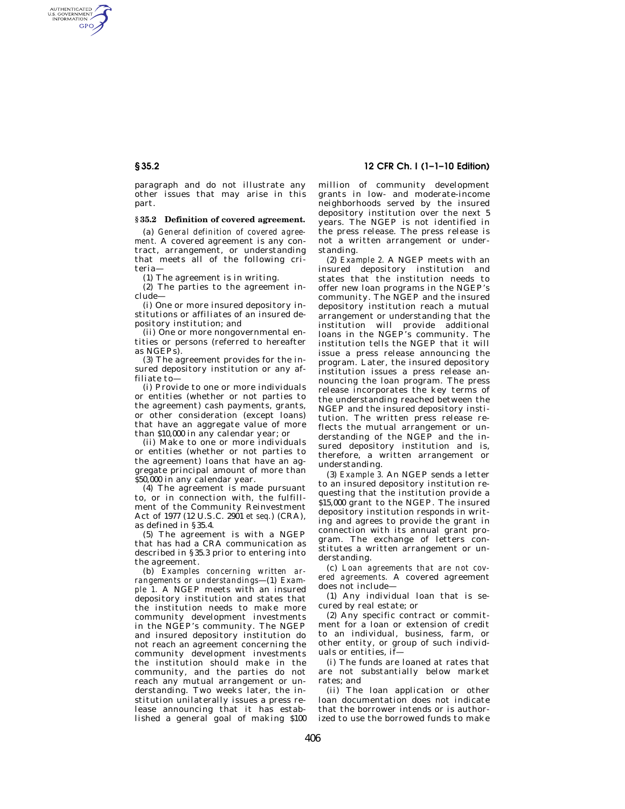# **§ 35.2 12 CFR Ch. I (1–1–10 Edition)**

paragraph and do not illustrate any other issues that may arise in this part.

### **§ 35.2 Definition of covered agreement.**

(a) *General definition of covered agreement.* A covered agreement is any contract, arrangement, or understanding that meets all of the following criteria—

(1) The agreement is in writing.

(2) The parties to the agreement include—

(i) One or more insured depository institutions or affiliates of an insured depository institution; and

(ii) One or more nongovernmental entities or persons (referred to hereafter as NGEPs).

(3) The agreement provides for the insured depository institution or any affiliate to—

(i) Provide to one or more individuals or entities (whether or not parties to the agreement) cash payments, grants, or other consideration (except loans) that have an aggregate value of more than \$10,000 in any calendar year; or

(ii) Make to one or more individuals or entities (whether or not parties to the agreement) loans that have an aggregate principal amount of more than \$50,000 in any calendar year.

(4) The agreement is made pursuant to, or in connection with, the fulfillment of the Community Reinvestment Act of 1977 (12 U.S.C. 2901 *et seq.*) (CRA), as defined in §35.4.

(5) The agreement is with a NGEP that has had a CRA communication as described in §35.3 prior to entering into the agreement.

(b) *Examples concerning written arrangements or understandings*—(1) *Example 1.* A NGEP meets with an insured depository institution and states that the institution needs to make more community development investments in the NGEP's community. The NGEP and insured depository institution do not reach an agreement concerning the community development investments the institution should make in the community, and the parties do not reach any mutual arrangement or understanding. Two weeks later, the institution unilaterally issues a press release announcing that it has established a general goal of making \$100

million of community development grants in low- and moderate-income neighborhoods served by the insured depository institution over the next 5 years. The NGEP is not identified in the press release. The press release is not a written arrangement or understanding.

(2) *Example 2.* A NGEP meets with an insured depository institution and states that the institution needs to offer new loan programs in the NGEP's community. The NGEP and the insured depository institution reach a mutual arrangement or understanding that the institution will provide additional loans in the NGEP's community. The institution tells the NGEP that it will issue a press release announcing the program. Later, the insured depository institution issues a press release announcing the loan program. The press release incorporates the key terms of the understanding reached between the NGEP and the insured depository institution. The written press release reflects the mutual arrangement or understanding of the NGEP and the insured depository institution and is, therefore, a written arrangement or understanding.

(3) *Example 3.* An NGEP sends a letter to an insured depository institution requesting that the institution provide a \$15,000 grant to the NGEP. The insured depository institution responds in writing and agrees to provide the grant in connection with its annual grant program. The exchange of letters constitutes a written arrangement or understanding.

(c) *Loan agreements that are not covered agreements.* A covered agreement does not include—

(1) Any individual loan that is secured by real estate; or

(2) Any specific contract or commitment for a loan or extension of credit to an individual, business, farm, or other entity, or group of such individuals or entities, if—

(i) The funds are loaned at rates that are not substantially below market rates; and

(ii) The loan application or other loan documentation does not indicate that the borrower intends or is authorized to use the borrowed funds to make

AUTHENTICATED<br>U.S. GOVERNMENT<br>INFORMATION **GPO**